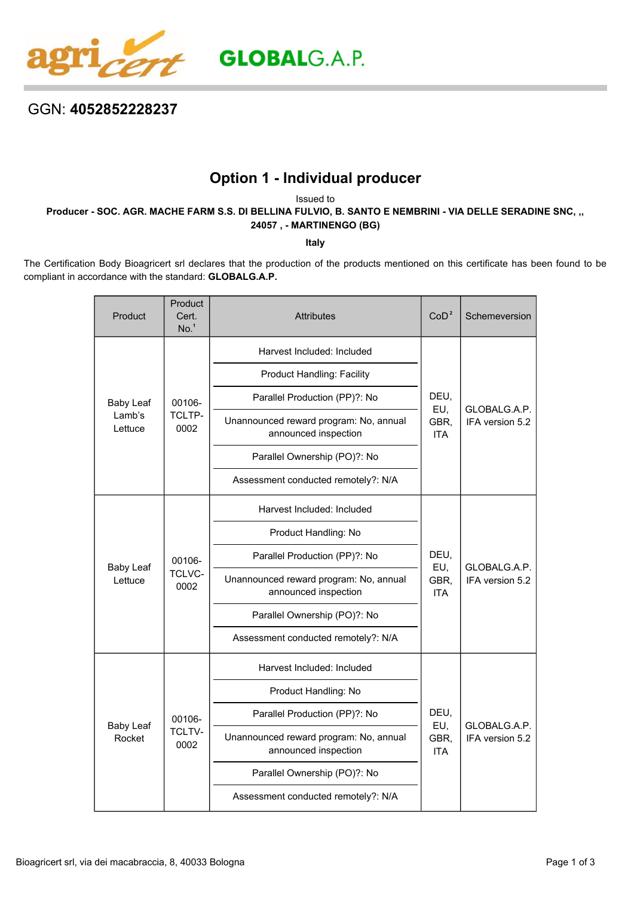

## GGN: **4052852228237**

## **Option 1 - Individual producer**

Issued to

**Producer - SOC. AGR. MACHE FARM S.S. DI BELLINA FULVIO, B. SANTO E NEMBRINI - VIA DELLE SERADINE SNC, ,, 24057 , - MARTINENGO (BG)**

**Italy**

The Certification Body Bioagricert srl declares that the production of the products mentioned on this certificate has been found to be compliant in accordance with the standard: **GLOBALG.A.P.**

| Product                               | Product<br>Cert.<br>No. <sup>1</sup> | <b>Attributes</b>                                              | CoD <sup>2</sup>                  | Schemeversion                   |
|---------------------------------------|--------------------------------------|----------------------------------------------------------------|-----------------------------------|---------------------------------|
| <b>Baby Leaf</b><br>Lamb's<br>Lettuce | 00106-<br>TCLTP-<br>0002             | Harvest Included: Included                                     | DEU,<br>EU,<br>GBR,<br><b>ITA</b> | GLOBALG.A.P.<br>IFA version 5.2 |
|                                       |                                      | <b>Product Handling: Facility</b>                              |                                   |                                 |
|                                       |                                      | Parallel Production (PP)?: No                                  |                                   |                                 |
|                                       |                                      | Unannounced reward program: No, annual<br>announced inspection |                                   |                                 |
|                                       |                                      | Parallel Ownership (PO)?: No                                   |                                   |                                 |
|                                       |                                      | Assessment conducted remotely?: N/A                            |                                   |                                 |
|                                       | 00106-<br>TCLVC-<br>0002             | Harvest Included: Included                                     | DEU,<br>EU,<br>GBR,<br><b>ITA</b> | GLOBALG.A.P.<br>IFA version 5.2 |
|                                       |                                      | Product Handling: No                                           |                                   |                                 |
| <b>Baby Leaf</b><br>Lettuce           |                                      | Parallel Production (PP)?: No                                  |                                   |                                 |
|                                       |                                      | Unannounced reward program: No, annual<br>announced inspection |                                   |                                 |
|                                       |                                      | Parallel Ownership (PO)?: No                                   |                                   |                                 |
|                                       |                                      | Assessment conducted remotely?: N/A                            |                                   |                                 |
| <b>Baby Leaf</b><br>Rocket            | 00106-<br><b>TCLTV-</b><br>0002      | Harvest Included: Included                                     | DEU,<br>EU,<br>GBR,<br><b>ITA</b> | GLOBALG.A.P.<br>IFA version 5.2 |
|                                       |                                      | Product Handling: No                                           |                                   |                                 |
|                                       |                                      | Parallel Production (PP)?: No                                  |                                   |                                 |
|                                       |                                      | Unannounced reward program: No, annual<br>announced inspection |                                   |                                 |
|                                       |                                      | Parallel Ownership (PO)?: No                                   |                                   |                                 |
|                                       |                                      | Assessment conducted remotely?: N/A                            |                                   |                                 |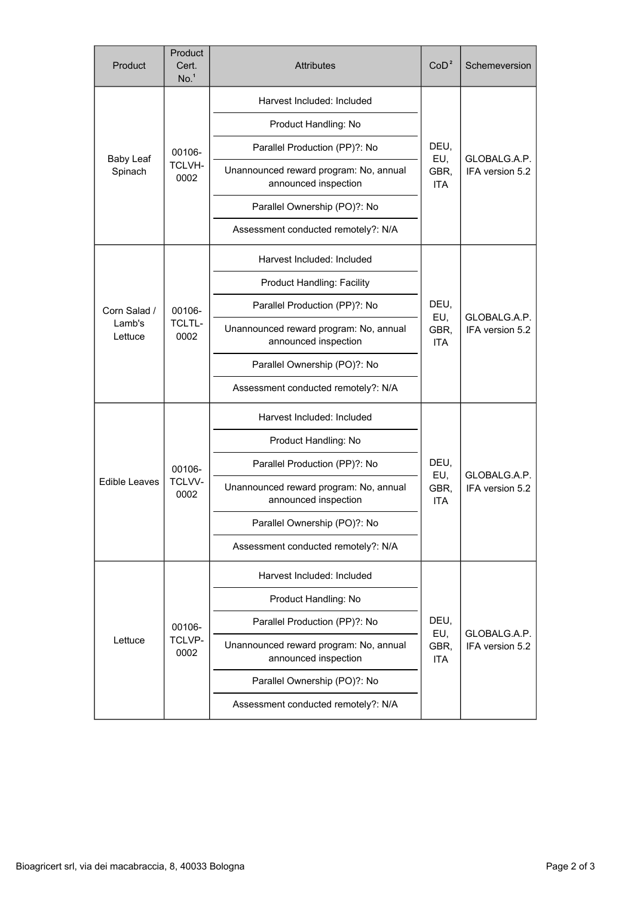| Product                     | Product<br>Cert.<br>No. <sup>1</sup> | <b>Attributes</b>                                              | CoD <sup>2</sup>                  | Schemeversion                   |
|-----------------------------|--------------------------------------|----------------------------------------------------------------|-----------------------------------|---------------------------------|
| <b>Baby Leaf</b><br>Spinach | 00106-<br><b>TCLVH-</b><br>0002      | Harvest Included: Included                                     | DEU,<br>EU,<br>GBR,<br><b>ITA</b> | GLOBALG.A.P.<br>IFA version 5.2 |
|                             |                                      | Product Handling: No                                           |                                   |                                 |
|                             |                                      | Parallel Production (PP)?: No                                  |                                   |                                 |
|                             |                                      | Unannounced reward program: No, annual<br>announced inspection |                                   |                                 |
|                             |                                      | Parallel Ownership (PO)?: No                                   |                                   |                                 |
|                             |                                      | Assessment conducted remotely?: N/A                            |                                   |                                 |
|                             |                                      | Harvest Included: Included                                     |                                   | GLOBALG.A.P.<br>IFA version 5.2 |
|                             |                                      | <b>Product Handling: Facility</b>                              |                                   |                                 |
| Corn Salad /                | 00106-<br><b>TCLTL-</b><br>0002      | Parallel Production (PP)?: No                                  | DEU,<br>EU,<br>GBR,<br><b>ITA</b> |                                 |
| Lamb's<br>Lettuce           |                                      | Unannounced reward program: No, annual<br>announced inspection |                                   |                                 |
|                             |                                      | Parallel Ownership (PO)?: No                                   |                                   |                                 |
|                             |                                      | Assessment conducted remotely?: N/A                            |                                   |                                 |
|                             | 00106-<br>TCLVV-<br>0002             | Harvest Included: Included                                     | DEU,<br>EU,<br>GBR,<br><b>ITA</b> | GLOBALG.A.P.<br>IFA version 5.2 |
|                             |                                      | Product Handling: No                                           |                                   |                                 |
|                             |                                      | Parallel Production (PP)?: No                                  |                                   |                                 |
| <b>Edible Leaves</b>        |                                      | Unannounced reward program: No, annual<br>announced inspection |                                   |                                 |
|                             |                                      | Parallel Ownership (PO)?: No                                   |                                   |                                 |
|                             |                                      | Assessment conducted remotely?: N/A                            |                                   |                                 |
| Lettuce                     | 00106-<br>TCLVP-<br>0002             | Harvest Included: Included                                     | DEU,<br>EU,<br>GBR,<br><b>ITA</b> | GLOBALG.A.P.<br>IFA version 5.2 |
|                             |                                      | Product Handling: No                                           |                                   |                                 |
|                             |                                      | Parallel Production (PP)?: No                                  |                                   |                                 |
|                             |                                      | Unannounced reward program: No, annual<br>announced inspection |                                   |                                 |
|                             |                                      | Parallel Ownership (PO)?: No                                   |                                   |                                 |
|                             |                                      | Assessment conducted remotely?: N/A                            |                                   |                                 |